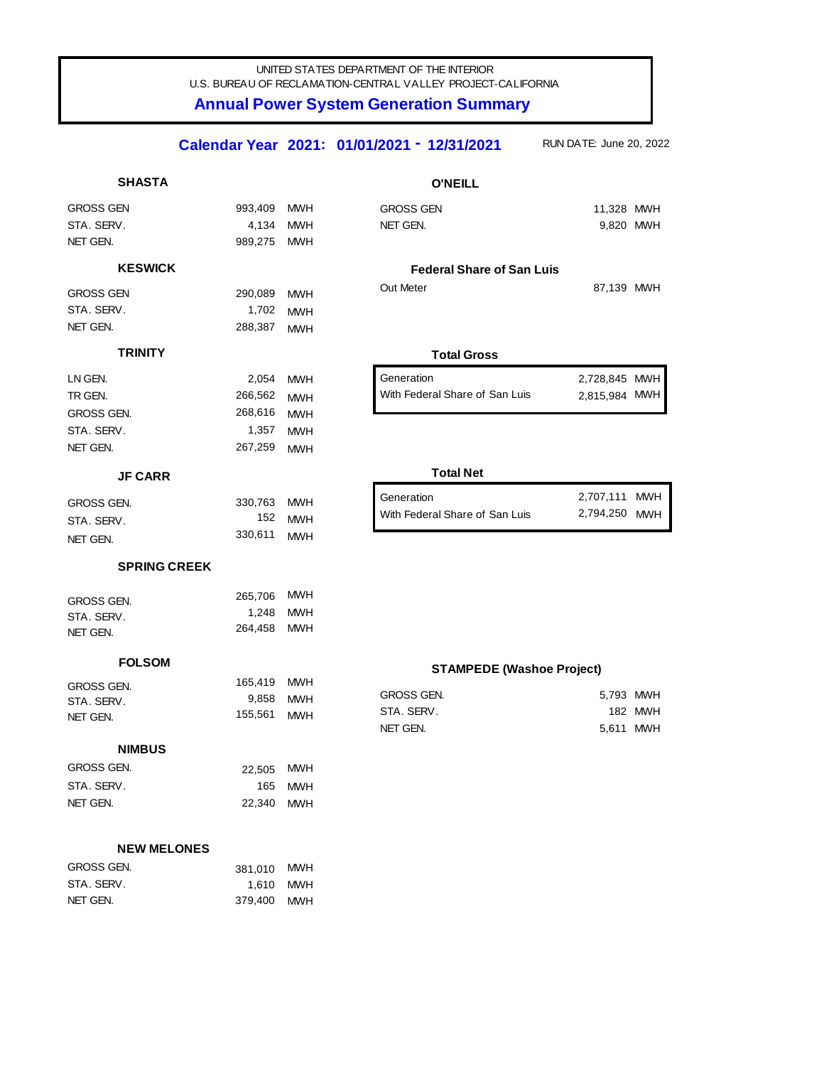## UNITED STATES DEPARTMENT OF THE INTERIOR U.S. BUREAU OF RECLAMATION-CENTRAL VALLEY PROJECT-CALIFORNIA

# **Annual Power System Generation Summary**

#### RUN DATE: June 20, 2022 **12/31/2021** RUN DATE: **Calendar Year 2021: 01/01/2021 -**

| <b>SHASTA</b>            |                  |                          | <b>O'NEILL</b>                   |                                |         |
|--------------------------|------------------|--------------------------|----------------------------------|--------------------------------|---------|
| <b>GROSS GEN</b>         | 993,409          | <b>MWH</b>               | <b>GROSS GEN</b>                 | 11,328 MWH                     |         |
| STA, SERV.               | 4,134            | <b>MWH</b>               | NET GEN.                         | 9,820 MWH                      |         |
| NET GEN.                 | 989,275          | <b>MWH</b>               |                                  |                                |         |
| <b>KESWICK</b>           |                  |                          | <b>Federal Share of San Luis</b> |                                |         |
| <b>GROSS GEN</b>         | 290,089          | <b>MWH</b>               | Out Meter                        | 87,139 MWH                     |         |
| STA, SERV.               | 1,702            | <b>MWH</b>               |                                  |                                |         |
| NET GEN.                 | 288,387          | <b>MWH</b>               |                                  |                                |         |
| <b>TRINITY</b>           |                  |                          | <b>Total Gross</b>               |                                |         |
| LN GEN.                  |                  |                          | Generation                       |                                |         |
| TR GEN.                  | 2,054<br>266,562 | <b>MWH</b>               | With Federal Share of San Luis   | 2,728,845 MWH<br>2,815,984 MWH |         |
| GROSS GEN.               | 268,616          | <b>MWH</b><br><b>MWH</b> |                                  |                                |         |
| STA, SERV.               | 1,357            | <b>MWH</b>               |                                  |                                |         |
| NET GEN.                 | 267,259          | <b>MWH</b>               |                                  |                                |         |
|                          |                  |                          | <b>Total Net</b>                 |                                |         |
| <b>JF CARR</b>           |                  |                          |                                  |                                |         |
| <b>GROSS GEN.</b>        | 330,763          | <b>MWH</b>               | Generation                       | 2,707,111 MWH                  |         |
| STA, SERV.               | 152              | <b>MWH</b>               | With Federal Share of San Luis   | 2,794,250 MWH                  |         |
| NET GEN.                 | 330,611          | <b>MWH</b>               |                                  |                                |         |
| <b>SPRING CREEK</b>      |                  |                          |                                  |                                |         |
|                          | 265,706          | <b>MWH</b>               |                                  |                                |         |
| GROSS GEN.               | 1,248            | <b>MWH</b>               |                                  |                                |         |
| STA, SERV.<br>NET GEN.   | 264,458          | MWH                      |                                  |                                |         |
|                          |                  |                          |                                  |                                |         |
| <b>FOLSOM</b>            |                  |                          | <b>STAMPEDE (Washoe Project)</b> |                                |         |
| GROSS GEN.               | 165,419          | <b>MWH</b>               | <b>GROSS GEN.</b>                | 5,793 MWH                      |         |
| STA. SERV.               | 9,858<br>155,561 | <b>MWH</b>               | STA. SERV.                       |                                | 182 MWH |
| NET GEN.                 |                  | <b>MWH</b>               | NET GEN.                         | 5,611 MWH                      |         |
| <b>NIMBUS</b>            |                  |                          |                                  |                                |         |
| GROSS GEN.               | 22,505           | <b>MWH</b>               |                                  |                                |         |
| STA. SERV.               | 165              | <b>MWH</b>               |                                  |                                |         |
| NET GEN.                 | 22,340           | <b>MWH</b>               |                                  |                                |         |
|                          |                  |                          |                                  |                                |         |
| <b>NEW MELONES</b>       |                  |                          |                                  |                                |         |
| GROSS GEN.<br>STA. SERV. | 381,010          | <b>MWH</b>               |                                  |                                |         |
| NET GEN.                 | 1,610<br>379,400 | <b>MWH</b><br><b>MWH</b> |                                  |                                |         |
|                          |                  |                          |                                  |                                |         |
|                          |                  |                          |                                  |                                |         |